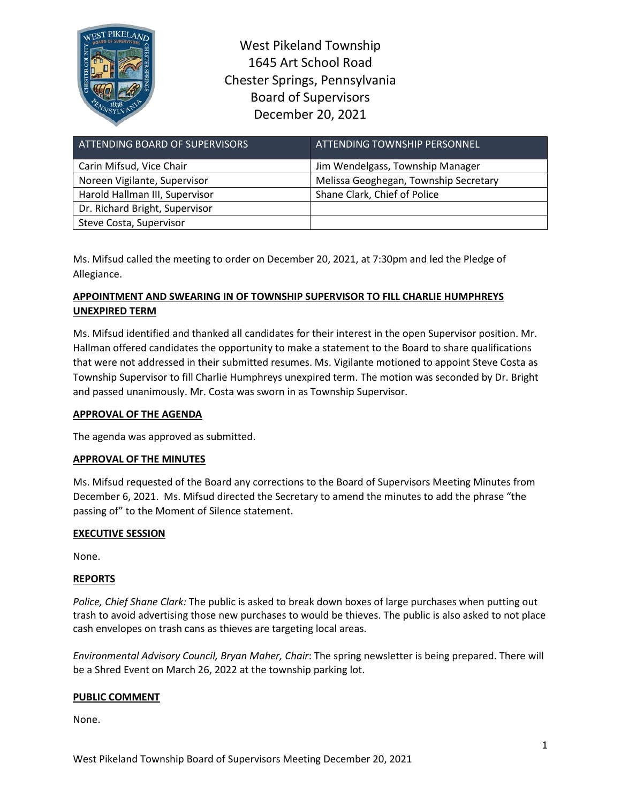

West Pikeland Township 1645 Art School Road Chester Springs, Pennsylvania Board of Supervisors December 20, 2021

| ATTENDING BOARD OF SUPERVISORS | ATTENDING TOWNSHIP PERSONNEL          |
|--------------------------------|---------------------------------------|
| Carin Mifsud, Vice Chair       | Jim Wendelgass, Township Manager      |
| Noreen Vigilante, Supervisor   | Melissa Geoghegan, Township Secretary |
| Harold Hallman III, Supervisor | Shane Clark, Chief of Police          |
| Dr. Richard Bright, Supervisor |                                       |
| Steve Costa, Supervisor        |                                       |

Ms. Mifsud called the meeting to order on December 20, 2021, at 7:30pm and led the Pledge of Allegiance.

# **APPOINTMENT AND SWEARING IN OF TOWNSHIP SUPERVISOR TO FILL CHARLIE HUMPHREYS UNEXPIRED TERM**

Ms. Mifsud identified and thanked all candidates for their interest in the open Supervisor position. Mr. Hallman offered candidates the opportunity to make a statement to the Board to share qualifications that were not addressed in their submitted resumes. Ms. Vigilante motioned to appoint Steve Costa as Township Supervisor to fill Charlie Humphreys unexpired term. The motion was seconded by Dr. Bright and passed unanimously. Mr. Costa was sworn in as Township Supervisor.

## **APPROVAL OF THE AGENDA**

The agenda was approved as submitted.

## **APPROVAL OF THE MINUTES**

Ms. Mifsud requested of the Board any corrections to the Board of Supervisors Meeting Minutes from December 6, 2021. Ms. Mifsud directed the Secretary to amend the minutes to add the phrase "the passing of" to the Moment of Silence statement.

## **EXECUTIVE SESSION**

None.

## **REPORTS**

*Police, Chief Shane Clark:* The public is asked to break down boxes of large purchases when putting out trash to avoid advertising those new purchases to would be thieves. The public is also asked to not place cash envelopes on trash cans as thieves are targeting local areas.

*Environmental Advisory Council, Bryan Maher, Chair*: The spring newsletter is being prepared. There will be a Shred Event on March 26, 2022 at the township parking lot.

## **PUBLIC COMMENT**

None.